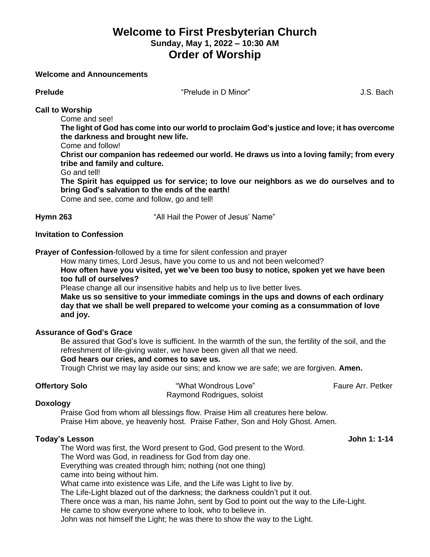# **Welcome to First Presbyterian Church Sunday, May 1, 2022 – 10:30 AM Order of Worship**

### **Welcome and Announcements**

**Prelude** "Prelude in D Minor" J.S. Bach

**Call to Worship**

Come and see!

**The light of God has come into our world to proclaim God's justice and love; it has overcome the darkness and brought new life.**

Come and follow!

**Christ our companion has redeemed our world. He draws us into a loving family; from every tribe and family and culture.**

Go and tell!

**The Spirit has equipped us for service; to love our neighbors as we do ourselves and to bring God's salvation to the ends of the earth!**

Come and see, come and follow, go and tell!

**Hymn 263** "All Hail the Power of Jesus' Name"

# **Invitation to Confession**

**Prayer of Confession**-followed by a time for silent confession and prayer

How many times, Lord Jesus, have you come to us and not been welcomed?

**How often have you visited, yet we've been too busy to notice, spoken yet we have been too full of ourselves?**

Please change all our insensitive habits and help us to live better lives.

**Make us so sensitive to your immediate comings in the ups and downs of each ordinary day that we shall be well prepared to welcome your coming as a consummation of love and joy.**

# **Assurance of God's Grace**

Be assured that God's love is sufficient. In the warmth of the sun, the fertility of the soil, and the refreshment of life-giving water, we have been given all that we need.

### **God hears our cries, and comes to save us.**

Trough Christ we may lay aside our sins; and know we are safe; we are forgiven. **Amen.**

**Offertory Solo Contract Array Example 2018** The "What Wondrous Love" Faure Arr. Petker Raymond Rodrigues, soloist

### **Doxology**

Praise God from whom all blessings flow. Praise Him all creatures here below. Praise Him above, ye heavenly host. Praise Father, Son and Holy Ghost. Amen.

# **Today's Lesson John 1: 1-14**

The Word was first, the Word present to God, God present to the Word. The Word was God, in readiness for God from day one.

Everything was created through him; nothing (not one thing)

came into being without him.

What came into existence was Life, and the Life was Light to live by.

The Life-Light blazed out of the darkness; the darkness couldn't put it out.

There once was a man, his name John, sent by God to point out the way to the Life-Light.

He came to show everyone where to look, who to believe in.

John was not himself the Light; he was there to show the way to the Light.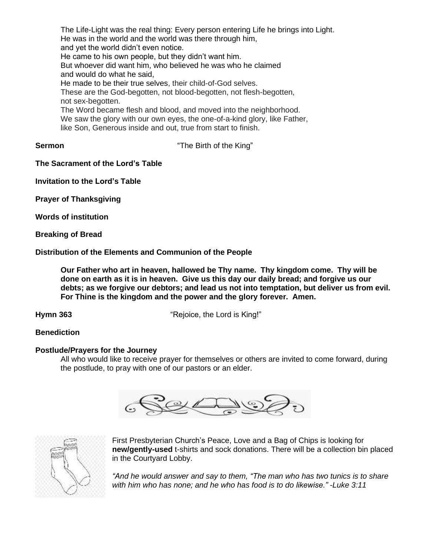The Life-Light was the real thing: Every person entering Life he brings into Light. He was in the world and the world was there through him, and yet the world didn't even notice. He came to his own people, but they didn't want him. But whoever did want him, who believed he was who he claimed and would do what he said, He made to be their true selves, their child-of-God selves. These are the God-begotten, not blood-begotten, not flesh-begotten, not sex-begotten. The Word became flesh and blood, and moved into the neighborhood. We saw the glory with our own eyes, the one-of-a-kind glory, like Father, like Son, Generous inside and out, true from start to finish.

**Sermon** "The Birth of the King"

**The Sacrament of the Lord's Table**

**Invitation to the Lord's Table**

**Prayer of Thanksgiving**

**Words of institution**

**Breaking of Bread**

**Distribution of the Elements and Communion of the People**

**Our Father who art in heaven, hallowed be Thy name. Thy kingdom come. Thy will be done on earth as it is in heaven. Give us this day our daily bread; and forgive us our debts; as we forgive our debtors; and lead us not into temptation, but deliver us from evil. For Thine is the kingdom and the power and the glory forever. Amen.**

**Hymn 363** "Rejoice, the Lord is King!"

# **Benediction**

### **Postlude/Prayers for the Journey**

All who would like to receive prayer for themselves or others are invited to come forward, during the postlude, to pray with one of our pastors or an elder.





First Presbyterian Church's Peace, Love and a Bag of Chips is looking for **new/gently-used** t-shirts and sock donations. There will be a collection bin placed in the Courtyard Lobby.

*"And he would answer and say to them, "The man who has two tunics is to share with him who has none; and he who has food is to do likewise." -Luke 3:11*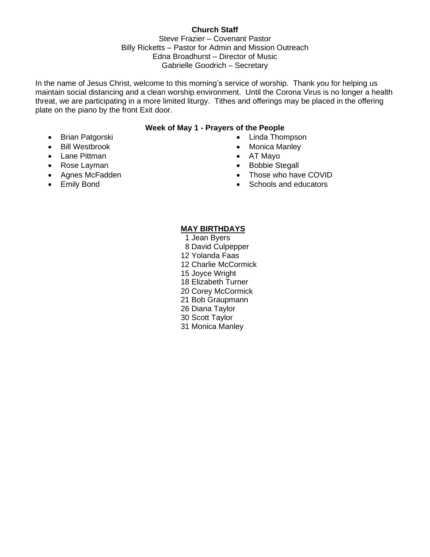# **Church Staff**

Steve Frazier – Covenant Pastor Billy Ricketts – Pastor for Admin and Mission Outreach Edna Broadhurst – Director of Music Gabrielle Goodrich – Secretary

In the name of Jesus Christ, welcome to this morning's service of worship. Thank you for helping us maintain social distancing and a clean worship environment. Until the Corona Virus is no longer a health threat, we are participating in a more limited liturgy. Tithes and offerings may be placed in the offering plate on the piano by the front Exit door.

# **Week of May 1 - Prayers of the People**

- Brian Patgorski
- Bill Westbrook
- Lane Pittman
- Rose Layman
- Agnes McFadden
- Emily Bond
- Linda Thompson
- Monica Manley
- AT Mayo
- Bobbie Stegall
- Those who have COVID
- Schools and educators

# **MAY BIRTHDAYS**

- 1 Jean Byers
- 8 David Culpepper
- 12 Yolanda Faas
- 12 Charlie McCormick
- 15 Joyce Wright
- 18 Elizabeth Turner
- 20 Corey McCormick
- 21 Bob Graupmann
- 26 Diana Taylor
- 30 Scott Taylor
- 31 Monica Manley